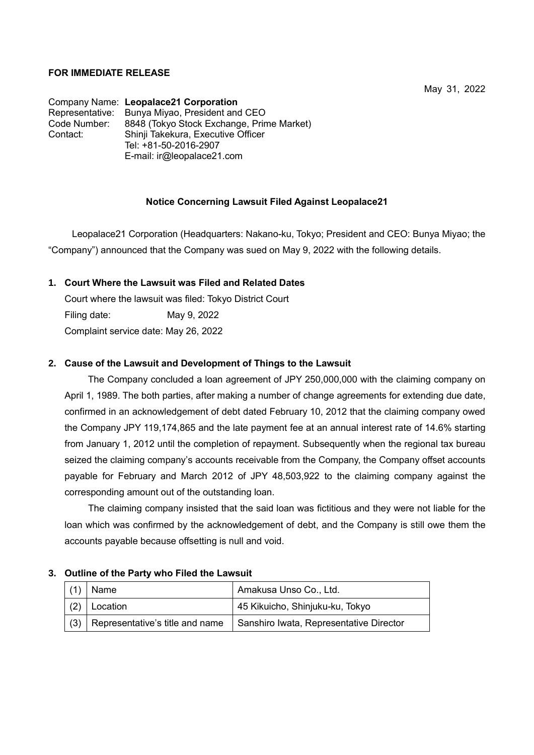# **FOR IMMEDIATE RELEASE**

Company Name: **Leopalace21 Corporation** Representative: Bunya Miyao, President and CEO Code Number: 8848 (Tokyo Stock Exchange, Prime Market) Contact: Shinji Takekura, Executive Officer Tel: +81-50-2016-2907 E-mail: ir@leopalace21.com

# **Notice Concerning Lawsuit Filed Against Leopalace21**

Leopalace21 Corporation (Headquarters: Nakano-ku, Tokyo; President and CEO: Bunya Miyao; the "Company") announced that the Company was sued on May 9, 2022 with the following details.

## **1. Court Where the Lawsuit was Filed and Related Dates**

Court where the lawsuit was filed: Tokyo District Court Filing date: May 9, 2022 Complaint service date: May 26, 2022

# **2. Cause of the Lawsuit and Development of Things to the Lawsuit**

 The Company concluded a loan agreement of JPY 250,000,000 with the claiming company on April 1, 1989. The both parties, after making a number of change agreements for extending due date, confirmed in an acknowledgement of debt dated February 10, 2012 that the claiming company owed the Company JPY 119,174,865 and the late payment fee at an annual interest rate of 14.6% starting from January 1, 2012 until the completion of repayment. Subsequently when the regional tax bureau seized the claiming company's accounts receivable from the Company, the Company offset accounts payable for February and March 2012 of JPY 48,503,922 to the claiming company against the corresponding amount out of the outstanding loan.

The claiming company insisted that the said loan was fictitious and they were not liable for the loan which was confirmed by the acknowledgement of debt, and the Company is still owe them the accounts payable because offsetting is null and void.

#### **3. Outline of the Party who Filed the Lawsuit**

|     | Name                            | Amakusa Unso Co., Ltd.                  |
|-----|---------------------------------|-----------------------------------------|
| (2) | Location                        | 45 Kikuicho, Shinjuku-ku, Tokyo         |
| (3) | Representative's title and name | Sanshiro Iwata, Representative Director |

May 31, 2022